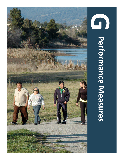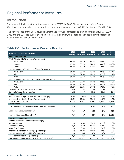# **Regional Performance Measures**

# **Introduction**

This appendix highlights the performance of the MTP/SCS for 2045. The performance of the Revenue Constrained network also is compared to other network scenarios, such as 2015 Existng and 2045 No Build.

The performance of the 2045 Revenue Constrained Network compared to existing conditions (2015), 2020, 2035 and the 2045 No Build is shown in Table G-1. In additon, this appendix includes the methodology to estmate the performance measures.

# **Table G-1: Performance Measure Results**

| <b>Regional Performance Measures</b>                      | 2015            | 2020           | 2035           | 2045     | 2045    |
|-----------------------------------------------------------|-----------------|----------------|----------------|----------|---------|
|                                                           | <b>Existing</b> | <b>MTP/SCS</b> | <b>MTP/SCS</b> | No Build | MTP/SCS |
| <b>Access and Mobility</b>                                |                 |                |                |          |         |
| Work Trips Within 30 Minutes (percentage)                 |                 |                |                |          |         |
| Drive Alone                                               | 85.1%           | 85.1%          | 84.4%          | 84.8%    | 84.3%   |
| Carpool                                                   | 85.1%           | 85.1%          | 84.4%          | 84.8%    | 84.3%   |
| Transit                                                   | 58.1%           | 57.6%          | 60.6%          | 59.5%    | 60.8%   |
| Population Within 30 Minutes of Parks (percentage)        |                 |                |                |          |         |
| Drive Alone                                               | 98.3%           | 98.4%          | 98.4%          | 98.4%    | 98.4%   |
| <b>Bike</b>                                               | 97.5%           | 97.5%          | 97.6%          | 97.7%    | 97.7%   |
| Walk                                                      | 90.1%           | 90.1%          | 90.3%          | 90.3%    | 90.3%   |
| Population Within 30 Minutes of Healthcare (percentage)   |                 |                |                |          |         |
| Drive Alone                                               | 97.7%           | 97.7%          | 97.8%          | 97.9%    | 97.9%   |
| <b>Bike</b>                                               | 90.7%           | 90.5%          | 90.3%          | 90.3%    | 90.3%   |
| Walk                                                      | 70.0%           | 69.3%          | 67.7%          | 67.3%    | 67.3%   |
| Daily Vehicle Delay Per Capita (minutes)                  | 3.36            | 5.34           | 5.37           | 6.96     | 6.13    |
| Commute Travel Time (minutes)                             | 15.3            | 15.4           | 15.5           | 15.5     | 15.6    |
| <b>Economic Vitality</b>                                  |                 |                |                |          |         |
| Population Near High Quality Transit (percentage)         | 15.3%           | 15.4%          | 25.9%          | 14.7%    | 30.0%   |
| Jobs Near High Quality Transit (percentage)               | 12.0%           | 12.0%          | 23.8%          | 11.8%    | 24.8%   |
| Daily Truck Delay (hours)                                 | 3,772           | 6,404          | 6,746          | 9,611    | 8,218   |
| <b>Environment</b>                                        |                 |                |                |          |         |
| GHG Reductions (Percent reduction from 2005 baseline) $1$ | N/A             | 3.02           | 6.29           | N/A      | N/A     |
| Open Space Consumed (acres) <sup>2,3</sup>                | N/A             | N/A            | 133            | N/A      | 293     |
| Farmland Converted (acres) <sup>2,3,4</sup>               | N/A             | N/A            | 837            | N/A      | 2,635   |
| <b>Healthy Communities</b>                                |                 |                |                |          |         |
| Growth in Opportunity Areas (percentage)                  |                 |                |                |          |         |
| Monterey County                                           | N/A             | 4.4%           | 22.8%          | 32.9%    | 32.3%   |
| San Benito County                                         | N/A             | 25.4%          | 22.2%          | 21.8%    | 21.8%   |
| Santa Cruz County                                         | N/A             | $-3.9%$        | 5.2%           | 7.0%     | 7.0%    |
| Alternative Transportation Trips (percentage)             | 15.1%           | 14.8%          | 14.9%          | 14.6%    | 14.7%   |
| Population Near Bike Facilities (percentage)              | N/A             | N/A            | N/A            | N/A      | 86.9    |
| Jobs Near Bike Facilities (percentage)                    | N/A             | N/A            | N/A            | N/A      | 90.5    |
| Peak Period Congested Vehicle Miles of Travel (miles)     | 552,221         | 707,987        | 729,353        | 875,310  | 797,962 |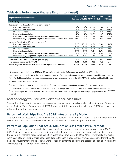# **Table G-1: Performance Measure Results (continued)**

| <b>Regional Performance Measures</b>                                     | 2015  | 2020  | 2035<br>Existing MTP/SCS MTP/SCS No Build MTP/SCS | 2045  | 2045  |
|--------------------------------------------------------------------------|-------|-------|---------------------------------------------------|-------|-------|
| <b>Social Equity</b>                                                     |       |       |                                                   |       |       |
| Distribution of MTP/SCS Investments (percentage) <sup>5</sup>            |       |       |                                                   |       |       |
| Low income population                                                    | N/A   | N/A   | 41.9%                                             | N/A   | 81.7% |
| Non low income population                                                | N/A   | N/A   | 72.4%                                             | N/A   | 83.6% |
| Minority population                                                      | N/A   | N/A   | 41.9%                                             | N/A   | 89.6% |
| Non minority population                                                  | N/A   | N/A   | 72.7%                                             | N/A   | 87.2% |
| Low mobility (zero car households and aged populations)                  | N/A   | N/A   | 52.9%                                             | N/A   | 71.5% |
| Low community engagement (linguistic isolation and education attainment) | N/A   | N/A   | 32.6%                                             | N/A   | 67.9% |
| Access to Transit within 1/2 mile (percentage) <sup>b</sup>              |       |       |                                                   |       |       |
| Low income population                                                    | 9.9%  | 10.0% | 14.3%                                             | 9.9%  | 14.4% |
| Non low income population                                                | 2.3%  | 2.4%  | 6.1%                                              | 2.3%  | 6.9%  |
| Minority population                                                      | 16.7% | 16.9% | 19.9%                                             | 16.8% | 19.9% |
| Non minority population                                                  | 0.7%  | 0.7%  | 7.4%                                              | 0.7%  | 8.1%  |
| Low mobility (zero car households and aged populations)                  | 0.6%  | 0.6%  | 1.6%                                              | 0.6%  | 1.6%  |
| Low community engagement (linguistic isolation and education attainment) | 1.2%  | 1.2%  | 1.4%                                              | 1.3%  | 1.4%  |
| <b>System Preservation and Safety</b>                                    |       |       |                                                   |       |       |
| Maintain the Transportation System (percentage)                          | N/A   | N/A   | 60.5%                                             | N/A   | 62.6% |
| Fatalities and Injuries per 1,000 VMT                                    | 0.02  | 0.03  | 0.05                                              | 0.06  | 0.06  |
| Annual Projected Bike/Pedestrian Fatalities and Injuries per 1,000 VMT   | 0.005 | 0.006 | 0.005                                             | 0.004 | 0.004 |

1

Greenhouses gas reductions in 2020 are -3.0 percent per capita and a -6.3 percent per capita from 2005 levels.

<sup>2</sup>Rail proiects are not reflected in the 2020, 2035 and 2045 MTP/SCS regionally significant project analysis, as rail lines are existing. <sup>3</sup>2045 No Build scenario has increased open space due to farmland conversion per the 2045 MTP/SCS typology as identified by the city and county jurisdictions in SOI's.

<sup>4</sup>Farmland analyzed is Prime, Unique, or Farmland of Statewide Importance as defined by Dept. of Conservation FMMP.

5Calculated based upon criteria on total investment of all modelable projects within 1/2 mile of U.S. Census Bureau defined tracts.

6<br>Tracts defined per U.S. Census Bureau. Calculated based per criteria on total acreage and percentage of population within a <sup>1/2</sup> mile of transit.

# **Methodology to Estmate Performance Measures**

The methodology used to calculate the regional performance measures is detailed below. A variety of tools such as the Regional Travel Demand Model (RTDM), geographic informaton system (GIS), and EMFAC were used to estmate the performance measures.

#### **Percent of Work Trips That Are 30 Minutes or Less By Mode**

This performance measure is calculated by using the Regional Travel Demand Model. It is the work trips that are 30 minutes or less and divided by total work trips by mode: drive alone, carpool and transit.

#### **Percent of Populaton That Are 30 Minutes or Less From a Park, By Mode**

This performance measure was calculated using spatially referenced population data, provided by AMBAG's 2022 Regional Growth Forecast, and a point data set of federal, state, county, and local parks, validated from the California Protected Areas Database. 30 minutes travel tme by mode (Drive Alone, Transit, Bike and Walk) were calculated by using average speed calculatons for each mode. TAZ fles from each scenario from the 2045 Regional Travel Demand Model (RTDM) were clipped by buffers to calculate the percent of population within the 30 minutes of parks buffer, for each mode.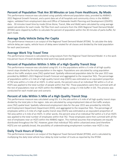#### **Percent of Populaton That Are 30 Minutes or Less From Healthcare, By Mode**

This performance measure was calculated using spatially referenced population data, provided by AMBAG's 2022 Regional Growth Forecast, and a point data set of all hospitals and community clinics in the AMBAG region, validated from employment data and Office of Statewide Health Planning and Development (OSHPD) data. . 30 minutes travel time by mode (Drive Alone, Transit, Bike and Walk) were calculated by using average speed calculations for each mode. TAZ files from each scenario from the 2045 Regional Travel Demand Model (RTDM) were clipped by bufers to calculate the percent of populaton within the 30 minutes of parks bufer, for each mode.

#### **Average Daily Vehicle Delay Per Capita**

This performance measure is an output of the Regional Travel Demand Model (RTDM). To calculate the daily vehicle delay per capita, vehicle hours of delay were totaled for all classes and divided by the total population for each year/scenario.

#### **Average Work Trip Travel Time**

This performance measure is calculated by using outputs from the Regional Travel Demand Model. It is the work trip person hours of travel divided by total work trips (peak period).

#### **Percent of Populaton Within ½ Mile of a High Quality Transit Stop**

This performance measure was calculated using GIS. It is the populations within a 1/2 mile of all high quality transit stops divided by the total population in the region. Populations are calculated by using population data at the traffic analysis zone (TAZ) spatial level. Spatially referenced population data for the year 2015 was provided by AMBAG's 2022 Regional Growth Forecast and aggregated to the respective TAZs. The percentage of populations within a  $\frac{1}{2}$  mile of a high quality transit stop (HQTS) was estimated as an equivalent proportion of TAZ area within a  $\frac{1}{2}$  mile of an HQTS. In other words, the percent area of an individual TAZ within a  $\frac{1}{2}$  of an HQTS was applied to the total number of people within that TAZ. Those populations were then summed with all the rest of populations near an HQTS within the AMBAG region, using a  $\frac{1}{2}$  mile buffer in GIS. This process was conducted for each model year and scenario.

#### **Percent of Jobs Within ½ Mile of a High Quality Transit Stop**

This performance measure was calculated using GIS. It is the jobs within a  $\frac{1}{2}$  mile of all high quality transit stops divided by the total jobs in the region. Jobs are calculated by using employment data at the traffic analysis zone (TAZ) spatial level. Spatially referenced employment data for the year 2015 was provided by InfoUSA, and Employment Department Department (EDD), and aggregated to the respective TAZs. The percentage of employees within a 1/2 mile of a high quality transit stop (HQTS) was estimated as an equivalent proportion of TAZ area within a ½ mile of an HQTS. In other words, the percent area of an individual TAZ within a ½ of an HQTS was applied to the total number of employees within that TAZ. Those employees were then summed with all the rest of employees near an HQTS within the AMBAG region. This method assumes that employees are equally distributed throughout the TAZ. However, given that individual TAZs within urbanized areas (and therefore HQTS) are not spatially broad, the possibility of underestimating employment numbers near HQTS is low.

#### **Daily Truck Hours of Delay**

This performance measure is an output of the Regional Travel Demand Model (RTDM), and is calculated by multiplying the daily total vehicle hour delay by total number of trucks as reported by the RTDM.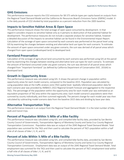#### **GHG Emissions**

This performance measure reports the CO2 emissions for SB 375 vehicle types per capita based on outputs from the Regional Travel Demand Model and the California Air Resources Board's Emissions Factor (EMFAC) model. It is the daily pounds of CO2 divided by total population as a percent reduction from the 2005 baseline.

#### **Impacts to Sensitve Habitat Areas & Open Space**

This performance measure shows the total acreage of open space consumed by development. In that regard it considers impacts to sensitve habitat only as it pertains to destructon of that potental habitat for development. The performance measures do not include a separate analysis for sensitve habitat, however a detailed discussion of the impacts to sensitve habitat can be found in the Environmental Impact Report. Calculation of the acreage of open space consumed by each scenario was performed at the parcel level using GIS by examining the changes between existing and alternative land use types for each scenario. To estimate the amount of open space consumed under any given scenario, the sum was derived of all parcel areas which changed from open space (undeveloped land) to developed land.

#### **Farmland Preservation**

Calculation of the acreage of agricultural land consumed by each scenario was performed using GIS at the parcel level by examining the changes between existng and alternatve land use types for each scenario. To estmate the amount of farmland consumed under any given scenario, the sum was derived of all parcel areas which changed from "Important Farmland" (as defined by California Department of Conservation DOC. 2016A) to developed land.

#### **Growth in Opportunity Areas**

This performance measure was calculated using GIS. It shows the percent change in populaton within opportunity areas for each model scenario, compared to the baseline 2015. Population was calculated by using population data at the traffic analysis zone (TAZ) spatial level. Spatially referenced population data for each scenario year was provided by AMBAG's 2022 Regional Growth Forecast and aggregated to the respectve TAZs. The percentage of the population within the opportunity area for each model year was estimated as an equivalent proportion of TAZ area within the opportunity area. Each model scenario's populations were then summed by county individually, and then summed regionally. The percent change for each model year was then calculated by subtracting model scenario data from the baseline 2015 data and dividing by base year data.

#### **Alternatve Transportaton Trips**

This performance measure is an output from the Regional Travel Demand Model. It is the total number of bike, walk and transit trips.

#### Percent of Population Within <sup>1/2</sup> Mile of a Bike Facility

This performance measure was calculated using GIS, and compiled bike facility data, provided by San Benito County Council of Governments, Transportaton Agency of Monterey County and Santa Cruz County Regional Transportation Commission. Population data was an output of the 2045 Regional Travel Demand Model. Total population was summed for the TAZs and then used to calculate the percent of TAZ's population within a half mile of all classes of bike I, II, III, and IV.

#### **Percent of Jobs Within ½ Mile of a Bike Facility**

This performance measure was calculated using GIS, and compiled bike facility data, provided by San Benito County Council of Governments, Transportation Agency of Monterey County and Santa Cruz County Regional Transportation Commission. Employment data was an output of the 2045 Regional Travel Demand Model. Total employment was summed for the TAZs and then used to calculate the percent of TAZ's employment total within a half mile of all classes of bike I, II, III, and IV.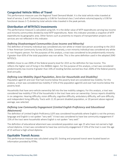#### **Congested Vehicle Miles of Travel**

This performance measure uses the Regional Travel Demand Model. It is the total vehicle miles traveled at level of service, E and F (volume/capacity ≥ 0.86 for functional class 2 and where volume/capacity ≥ 0.90 for functional classes 3-7) divided by total vehicle miles traveled in the peak periods.

#### **Distributon of MTP/SCS Investments**

This performance measure is calculated using GIS. It is the dollar value of MTP expenditures serving low income and minority communites divided by total MTP expenditures. Note: this indicator provides a snapshot of MTP expenditures by geographic area. Other factors such as proximity to impacts of transportation projects and services are not refected in this indicator.

#### *Defning Disadvantaged Communites (Low Income and Minority)*

The definition of minority individual was considered any non white or mixed race person according to the 2015 5-Year American Community Survey (ACS) data. Conversely, a non minority individual was considered any white or non Hispanic person. For the purposes of this analysis, a tract was considered to be predominantly minority if greater than 65% of the total population was non white. This is the same definition used in the adopted 2040 MTP/SCS.

AMBAG chose to use 200% of the federal poverty level for 2015 as the definition for low income. This refects the higher cost of living in the AMBAG region. For the purpose of this analysis, a tract was considered predominantly low income if greater than 33% of residing families earned less than 200% of the federal poverty level annually.

#### *Defning Low Mobility (Aged Populaton, Zero-Car Households and Disability)*

Population aged 65 and over that had income below the poverty level are considered low mobility. For this analysis, a tract was considered low mobility if 15% of the population aged 65 and over had income below the poverty level.

Households that have zero-vehicle ownership fall into the low mobility category. For this analysis, a tract was considered low mobility if 5% of the households in the tract have zero-car ownership. Census reports disabiliity in six categories: Hearing difficulty, vision difficulty, cognitive difficulty, ambulatory difficulty, self-care difficulty, and independent living difficulty. Tracts with 11.35 percent disabled population, or 20 percent above regional average, was selected.

#### **Defining Low Community Engagement (Limited English Proficiency and Educational** *Atainment)*

The definition of Limited English Proficiency (LEP) was considered households where English is not the primary language and English is not spoken "very well." A tract was considered to have low community engagement if 15% of the tract were households where English is not spoken "very well."

The definition of educational attainment was considered population over age 25 who have not earned a high school diploma. A tract was considered to have low community engagement if 15% of the tract is over the age of 25 without a high school diploma.

#### **Equitable Transit Access**

This performance measure was calculated using GIS. Existng and proposed transit were located based on information provided by RTPAs.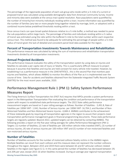The percentage of the regionwide population of each sub-group who reside within a  $\frac{1}{2}$  mile of a current or proposed transit was calculated using available demographic data from American Community Survey. Income and minority data were available at the census tract spatial resolution. Race populations were quantified by the number of minority/non-minority individuals residing within a tract. Income information was quantified by the number of families (any two or more people living together related by marriage, birth, or adopton) with a combined income below predefned thresholds residing within a tract.

Since census tracts can span broad spatial distances relative to a  $\frac{1}{2}$  mile buffer, a method was needed to parse the sub-populations within large tracts. The percentage of families and individuals residing within a  $\frac{1}{2}$  radius of transit was estimated using the ratio within the buffered  $\frac{1}{2}$  mile to the total number within each respective census tract. This method was found to be adequate for estimating the percentage of people within a  $\frac{1}{2}$  mile radius of transit given the lack of detailed and consistent parcel level data available for the region.

#### **Percent of Transportaton Investments Towards Maintenance and Rehabilitaton**

This performance measure was calculated by taking the sum of maintenance and rehabilitaton transportaton investments divided by all transportation investments.

#### **Annual Projected Accidents**

This performance measure evaluates the safety of the transportation system by using data on injuries and fatalities to calculate a per capita rate of injury or fatality. This is a particularly difficult measure to project because it assumes that fatalities and injuries are held constant for every vehicle mile traveled. However, by establishing it as a performance measure in the 2040 MTP/SCS , this is the second Plan that montors past injuries and fatalites, which allows AMBAG to monitor the efects of the Plan as it is implemented over the course of time. Data for accidents and fatalities obtained from the Statewide Integrated Traffic Records System (SWITRS) for the most recent years available, 2020.

# **Performance Management Rule 1 (PM 1): Safety System Performance Measures Report**

The Fixing America's Surface Transportation Act (FAST Act) requires that MPOs provide a system performance report in the Metropolitan Transportation Plan evaluating the condition and performance of the transportation system with respect to established state performance targets. The 2022 State safety performance measurement targets are based on 5-year rolling averages as follows: Number of Fatalites - 3,491.8; Rate of Fatalities per 100M VMT- 1.042; Number of Serious Injuries per 100M VMT- 16,704.2; and Number of Non-Motorized Fatalites and Non-Motorized Severe Injuries - 4,684.4. AMBAG contributes to the achievement of these statewide goals by requiring all transportaton agencies in the region to assure their projects meet transportaton performance management goals in fnancial programming documents. These state performance targets are regularly updated. Beyond 2022, updated targets can be obtained by contacting AMBAG. The following provides a report on the five-year rolling averages for safety Performance Management (PM 1) Targets: (1) number of fatalities, (2) rate of fatalities per 100 million vehicle miles traveled (VMT), (3) number of serious injuries, (4) rate of serious injuries per 100 million VMT and (5) number of non-motorized fatalites and non-motorized serious injuries.

#### **Number of Fatalites**

Number of fatalities accounts for the number of motorized collision fatality victims in the AMBAG region. Multiple fatalities can result from each collision and this measure does not represent the number collisions throughout the region. Between 2015 and 2019 there were between 65 and 87 vehicular collision related fatalities in the region (see Figure G-1). In this same period the number of fatalities has decreased between 1% and 20% per year, except 2015-16 when fatalities increased. During an average year regional transportation

Moving Forward Monterey Bay 2045 G-7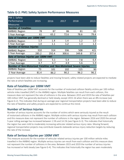| PM 1 Safety                                                          |       |       |       |       |       |  |  |  |  |
|----------------------------------------------------------------------|-------|-------|-------|-------|-------|--|--|--|--|
| Performance                                                          | 2015  | 2016  | 2017  | 2018  | 2019  |  |  |  |  |
|                                                                      |       |       |       |       |       |  |  |  |  |
| <b>Measures</b>                                                      |       |       |       |       |       |  |  |  |  |
| <b>Number of Fatalities</b>                                          |       |       |       |       |       |  |  |  |  |
| <b>AMBAG Region</b>                                                  | 78    | 87    | 86    | 81    | 65    |  |  |  |  |
| 5 Year Average                                                       | 61    | 65.2  | 72.6  | 78.6  | 79.4  |  |  |  |  |
| Rate of Fatalities per 100M VMT                                      |       |       |       |       |       |  |  |  |  |
| <b>AMBAG Region</b>                                                  | 1.3   | 1.4   | 1.4   | 1.2   | 1.0   |  |  |  |  |
| 5 Year Average                                                       | 1.0   | 1.1   | 1.2   | 1.3   | 1.3   |  |  |  |  |
| <b>Number of Serious Injuries</b>                                    |       |       |       |       |       |  |  |  |  |
| <b>AMBAG Region</b>                                                  | 310   | 314   | 336   | 508   | 421   |  |  |  |  |
| 5 Year Average                                                       | 285.2 | 292.4 | 300.6 | 349.8 | 377.8 |  |  |  |  |
| Rate of Serious Injuries per 100M VMT                                |       |       |       |       |       |  |  |  |  |
| <b>AMBAG Region</b>                                                  | 5.0   | 5.1   | 5.4   | 7.8   | 6.4   |  |  |  |  |
| 5 Year Average                                                       | 4.7   | 4.7   | 4.9   | 5.6   | 5.9   |  |  |  |  |
| Number of Non-Motorized Fatalities and Non-Motorized Severe Injuries |       |       |       |       |       |  |  |  |  |
| <b>AMBAG Region</b>                                                  | 73    | 101   | 102   | 115   | 90    |  |  |  |  |
| 5 Year Average                                                       | 81.4  | 86.2  | 90.2  | 96.2  | 96.2  |  |  |  |  |

## **Table G-2: PM1 Safety System Performance Measures**

projects have been able to reduce fatalites and moving forward, safety related projects are expected to mediate the rate at which fatalites are increasing.

#### **Rate of Fatalites per 100M VMT**

Rate of fatalites per 100M VMT accounts for the number of motorized collision fatality victms per 100 million vehicle miles travelled (VMT) in the AMBAG region. Multiple fatalities can result from each collision, this measure does not represent the rate of collisions in the area. Between 2015 and 2019 the rate of fatalites per 100 million VMT, has generally declined or held steady, except 2015-16 when there was an 8% increase (see Figure G-2). This indicates that during an average year regional transportation projects have been able to reduce the rate of fatalities and safety projects are expected to continue this trend.

#### **Number of Serious Injuries**

Number of serious injuries accounts for the number of victms which were seriously injured as the result of motorized collisions in the AMBAG region. Multiple victims with serious injuries may result from each collision and this measure does not represent the number of collisions in the region. Between 2016 and 2020 the annual 5-year rolling average has increased between 1.5% and 14.1% (see Figure G-3). This indicates that historically the region has seen mild to moderately increasing vehicular related serious injury rates. Moving forward, regional transportation projects may contribute towards statewide serious injury reduction targets by reducing the rate of the increase.

#### **Rate of Serious Injuries per 100M VMT**

This measure accounts for the number of vehicular related serious injuries per 100 million vehicle miles travelled in the AMBAG region. Multiple serious injuries can result from each collision and this measure does not represent the number of collisions in the area. Between 2015 and 2019 the number of serious injuries has increased or held steady (see Figure G-4). This indicates that historically the region has seen moderately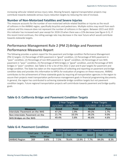increasing vehicular related serious injury rates. Moving forward, regional transportation projects may contribute towards statewide serious injury reduction targets by reducing the rate of increase.

#### **Number of Non-Motorized Fatalites and Severe Injuries**

This measure accounts for the number of non-motorized vehicle related fatalities or injuries as the result of collisions in the AMBAG region, specifically bicyclists and pedestrians. Multiple victims may result from each collision and this measure does not represent the number of collisions in the region. Between 2015 and 2019 this indicator has increased each year except for 2018-19 when there was a 22% decrease (see fgure G-5). If this recent trend contnues, the rolling average rate may decrease in the near future which would contribute towards statewide targets.

# **Performance Management Rule 2 (PM 2):Bridge and Pavement Performance Measures Report**

The following provides a system report for the pavement and bridge conditon Performance Management (PM 2) targets: (1) Percentage of NHS pavement in "good" conditon, (2) Percentage of NHS pavement in "poor" conditon, (2) Percentage of non-NHS pavement in "good" conditon, (4) Percentage of non-NHS pavement in "poor" conditon, (5) Percentage of NHS bridges in "good" conditon, and (6) Percentage of NHS bridges in "poor" conditon. See Table G-3 for a list of the 2022 2-year and 4-year targets for pavement and bridge condition. The State has taken on the responsibility of collecting and reporting on pavement and bridge condition data and provides this information to MPOs for evaluation of progress on these measures. AMBAG contributes to the achievement of these statewide goals by requiring all transportaton agencies in the region to assure their projects meet transportation performance management goals in financial programming documents. In general, the region has contributed to achieving statewide bridge conditon targets but not pavement condition targets. Future regional transportation projects will contrinbute towards pavement and bridge quality goals.

|                                | 2-Year Targets            |       | 4-Year Targets                |      |  |
|--------------------------------|---------------------------|-------|-------------------------------|------|--|
|                                | $(1/1/2022 - 12/31/2023)$ |       | $(1/1/2022 - 12 - 31 - 2025)$ |      |  |
| <b>Measure</b>                 | Good<br>Poor              |       | Good                          | Poor |  |
| Interstate Pavement on the NHS | 47.2%                     | 1.9%  | 49.2%                         | 1.7% |  |
| Non-Interstate Pavement on the | 21.7%                     | 10.5% | 28.2%                         | 9.0% |  |
| NHS Bridges on the NHS         | 49.4%                     | 5.8%  | 46.6%                         | 4.6% |  |

#### **Table G-3: California Bridge and Pavement Conditon Targets**

#### **Table G-4: Pavement Conditon**

|                     |                                   |                           | 2019 Pavement Condition |       |       | 2017 Pavement Condition |       |      |
|---------------------|-----------------------------------|---------------------------|-------------------------|-------|-------|-------------------------|-------|------|
|                     | <b>Total Lane</b><br><b>Miles</b> | % of Lane<br><b>Miles</b> | Good                    | Fair  | Poor  | Good                    | Fair  | Poor |
| <b>AMBAG Region</b> | 269                               | 0.6%                      | .5%                     | 78.6% | 13.9% | 7%                      | 84.0% | 8.3% |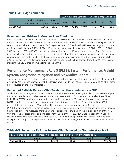|                     |                            |                                     |                             | 2020 NHS Bridge Condition |       |       | 2017 NHS Bridge Condition |       |      |
|---------------------|----------------------------|-------------------------------------|-----------------------------|---------------------------|-------|-------|---------------------------|-------|------|
|                     | Total<br><b>Structures</b> | <b>Total Deck</b><br>Area (Sq. Ft.) | <b>Total %</b><br>Deck Area | Good                      | Fair  | Poor  | Good                      | Fair  | Poor |
| <b>AMBAG Region</b> |                            | 144,280                             | 0.06%                       | 25.8%                     | 36.7% | 37.5% | 11.1%                     | 88.9% | 0.0% |

### **Table G-4: Bridge Conditon**

## **Pavement and Bridges in Good or Poor Conditon**

Most recently available data as of writng shows that AMBAG has 269 lane miles of roadway which is part of the NHS system. Lane miles are counted per lane. For example, one linear mile of two-lane NHS highway would count as two total lane miles. In the AMBAG region between 2017 and 2019 NHS pavement in good conditon declined marginally from 7.7% to 7.5%. NHS pavement in poor conditon went from 8.5% in 2017 to 13.9% in 2019. Between 2017 and 2020 bridges in good conditon on the NHS went from 11.1% to 25.8%. Part of this increase in bridge conditon was due to the replacement of the Pfeifer Canyon Bridge which buckled and was condemned in the winter of 2017. In the same time period, bridges in poor condition increased from 0% to 37.5%. This decline in bridge conditon was partally due to infrastructure damage from the 2020 fre season, including the CZU Lighting Complex Fire and the Carmel Fire.

# **Performance Management Rule 3 (PM 3): System Performance, Freight System, Congestion Mitigation and Air Quality Report**

The following provides a system report for the system performance, freight system, congeston mitgaton and air quality Performance Management (PM 3) target applicable to the AMBAG region: Percent of Reliable Person-Miles Traveled on the Non-Interstate NHS.

#### **Percent of Reliable Person-Miles Travled on the Non-Interstate NHS**

While the State sets targets for seven measures related to PM 3, only one target applies to the AMBAG region: Percent of reliable person miles traveled on the non-interstate NHS. This measure is a Level of Travel Time Reliability (LOTTR) metric and is required to be used by states and MPOs in assessing system performance. LOTTR is defined as the ratio of the longer travel times (80th percentile) to a "normal" travel time (50th percentle), using data from FHWA's Natonal Performance Management Research Data Set (NPMRDS) or equivalent. Data are collected in 15-minute segments during all tme periods between 6 a.m. and 8 p.m. local tme. The measures are the percent of person-miles traveled on the relevant porton of the NHS that are reliable. Person-miles take into account the users of the NHS. AMBAG has exceeded the 4-year state travel tme reliability goal since goals were set in 2018 with 80% or higher reliability scores. Future regional transportation projects are expected to contribute towards maintaining this high level of reliable person miles traveled.

## **Table G-5: Percent or Reliable Person Miles Traveled on Non-Interstate NHS**

| <b>PM 3: Percent of Reliable Person-Miles Traveled on the Non-Interstate NHS</b> |       |       |       |       |       |  |  |  |
|----------------------------------------------------------------------------------|-------|-------|-------|-------|-------|--|--|--|
|                                                                                  | 2016  | 2017  | 2018  | 2019  | 2020  |  |  |  |
| <b>AMBAG Region</b>                                                              | 73.6% | 80.2% | 80.6% | 80.0% | 93.3% |  |  |  |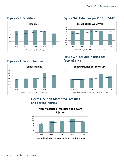

# **Figure G-3: Serious Injuries**



# Figure G-1: Fatalities **Figure G-2: Fatalities per (100 m) VMT**



# **Figure G-4: Serious Injuries per (100 m) VMT**



# **Figure G-5: Non-Motorized Fatalites and Severe Injuries**